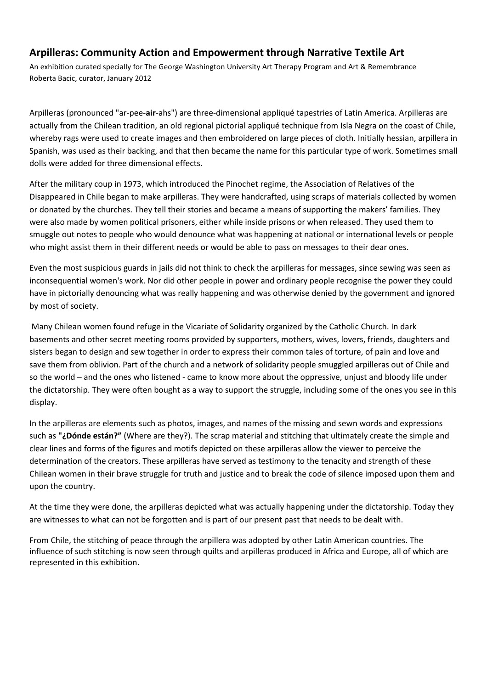# **Arpilleras: Community Action and Empowerment through Narrative Textile Art**

An exhibition curated specially for The George Washington University Art Therapy Program and Art & Remembrance Roberta Bacic, curator, January 2012

Arpilleras (pronounced "ar-pee-**air**-ahs") are three-dimensional appliqué tapestries of Latin America. Arpilleras are actually from the Chilean tradition, an old regional pictorial appliqué technique from Isla Negra on the coast of Chile, whereby rags were used to create images and then embroidered on large pieces of cloth. Initially hessian, arpillera in Spanish, was used as their backing, and that then became the name for this particular type of work. Sometimes small dolls were added for three dimensional effects.

After the military coup in 1973, which introduced the Pinochet regime, the Association of Relatives of the Disappeared in Chile began to make arpilleras. They were handcrafted, using scraps of materials collected by women or donated by the churches. They tell their stories and became a means of supporting the makers' families. They were also made by women political prisoners, either while inside prisons or when released. They used them to smuggle out notes to people who would denounce what was happening at national or international levels or people who might assist them in their different needs or would be able to pass on messages to their dear ones.

Even the most suspicious guards in jails did not think to check the arpilleras for messages, since sewing was seen as inconsequential women's work. Nor did other people in power and ordinary people recognise the power they could have in pictorially denouncing what was really happening and was otherwise denied by the government and ignored by most of society.

 Many Chilean women found refuge in the Vicariate of Solidarity organized by the Catholic Church. In dark basements and other secret meeting rooms provided by supporters, mothers, wives, lovers, friends, daughters and sisters began to design and sew together in order to express their common tales of torture, of pain and love and save them from oblivion. Part of the church and a network of solidarity people smuggled arpilleras out of Chile and so the world – and the ones who listened - came to know more about the oppressive, unjust and bloody life under the dictatorship. They were often bought as a way to support the struggle, including some of the ones you see in this display.

In the arpilleras are elements such as photos, images, and names of the missing and sewn words and expressions such as **"¿Dónde están?"** (Where are they?). The scrap material and stitching that ultimately create the simple and clear lines and forms of the figures and motifs depicted on these arpilleras allow the viewer to perceive the determination of the creators. These arpilleras have served as testimony to the tenacity and strength of these Chilean women in their brave struggle for truth and justice and to break the code of silence imposed upon them and upon the country.

At the time they were done, the arpilleras depicted what was actually happening under the dictatorship. Today they are witnesses to what can not be forgotten and is part of our present past that needs to be dealt with.

From Chile, the stitching of peace through the arpillera was adopted by other Latin American countries. The influence of such stitching is now seen through quilts and arpilleras produced in Africa and Europe, all of which are represented in this exhibition.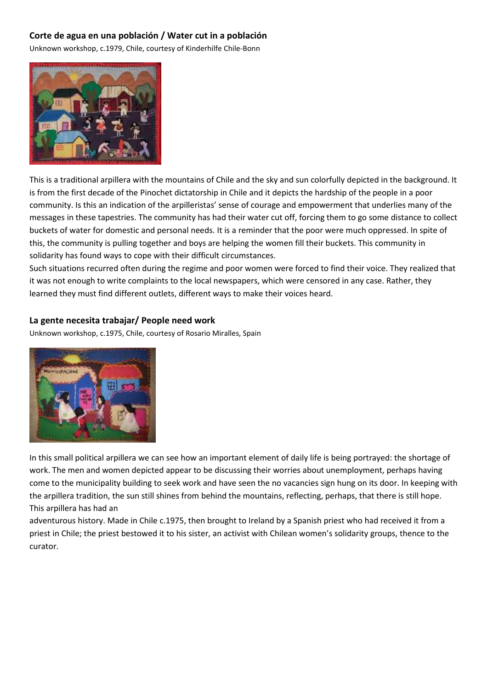### **Corte de agua en una población / Water cut in a población**

Unknown workshop, c.1979, Chile, courtesy of Kinderhilfe Chile-Bonn



This is a traditional arpillera with the mountains of Chile and the sky and sun colorfully depicted in the background. It is from the first decade of the Pinochet dictatorship in Chile and it depicts the hardship of the people in a poor community. Is this an indication of the arpilleristas' sense of courage and empowerment that underlies many of the messages in these tapestries. The community has had their water cut off, forcing them to go some distance to collect buckets of water for domestic and personal needs. It is a reminder that the poor were much oppressed. In spite of this, the community is pulling together and boys are helping the women fill their buckets. This community in solidarity has found ways to cope with their difficult circumstances.

Such situations recurred often during the regime and poor women were forced to find their voice. They realized that it was not enough to write complaints to the local newspapers, which were censored in any case. Rather, they learned they must find different outlets, different ways to make their voices heard.

#### **La gente necesita trabajar/ People need work**

Unknown workshop, c.1975, Chile, courtesy of Rosario Miralles, Spain



In this small political arpillera we can see how an important element of daily life is being portrayed: the shortage of work. The men and women depicted appear to be discussing their worries about unemployment, perhaps having come to the municipality building to seek work and have seen the no vacancies sign hung on its door. In keeping with the arpillera tradition, the sun still shines from behind the mountains, reflecting, perhaps, that there is still hope. This arpillera has had an

adventurous history. Made in Chile c.1975, then brought to Ireland by a Spanish priest who had received it from a priest in Chile; the priest bestowed it to his sister, an activist with Chilean women's solidarity groups, thence to the curator.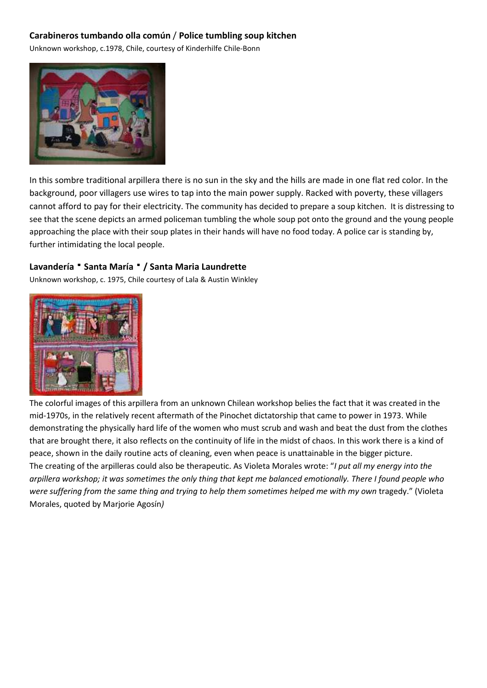## **Carabineros tumbando olla común** / **Police tumbling soup kitchen**

Unknown workshop, c.1978, Chile, courtesy of Kinderhilfe Chile-Bonn



In this sombre traditional arpillera there is no sun in the sky and the hills are made in one flat red color. In the background, poor villagers use wires to tap into the main power supply. Racked with poverty, these villagers cannot afford to pay for their electricity. The community has decided to prepare a soup kitchen. It is distressing to see that the scene depicts an armed policeman tumbling the whole soup pot onto the ground and the young people approaching the place with their soup plates in their hands will have no food today. A police car is standing by, further intimidating the local people.

#### Lavandería <sup>•</sup> Santa María <sup>•</sup> / Santa Maria Laundrette

Unknown workshop, c. 1975, Chile courtesy of Lala & Austin Winkley



The colorful images of this arpillera from an unknown Chilean workshop belies the fact that it was created in the mid-1970s, in the relatively recent aftermath of the Pinochet dictatorship that came to power in 1973. While demonstrating the physically hard life of the women who must scrub and wash and beat the dust from the clothes that are brought there, it also reflects on the continuity of life in the midst of chaos. In this work there is a kind of peace, shown in the daily routine acts of cleaning, even when peace is unattainable in the bigger picture. The creating of the arpilleras could also be therapeutic. As Violeta Morales wrote: "*I put all my energy into the arpillera workshop; it was sometimes the only thing that kept me balanced emotionally. There I found people who*  were suffering from the same thing and trying to help them sometimes helped me with my own tragedy." (Violeta Morales, quoted by Marjorie Agosín*)*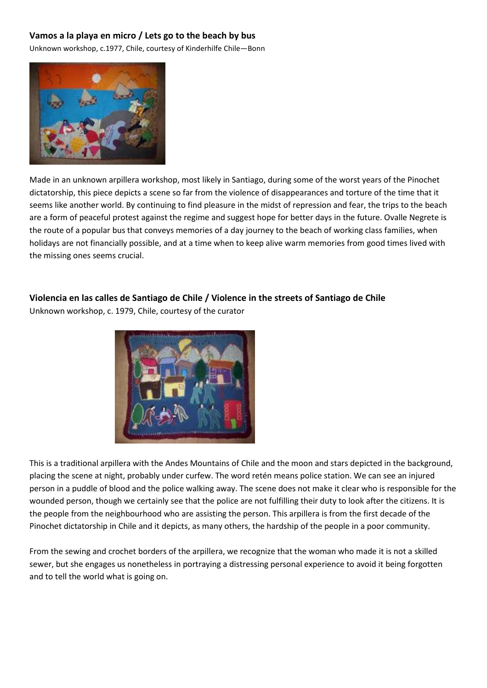## **Vamos a la playa en micro / Lets go to the beach by bus**

Unknown workshop, c.1977, Chile, courtesy of Kinderhilfe Chile—Bonn



Made in an unknown arpillera workshop, most likely in Santiago, during some of the worst years of the Pinochet dictatorship, this piece depicts a scene so far from the violence of disappearances and torture of the time that it seems like another world. By continuing to find pleasure in the midst of repression and fear, the trips to the beach are a form of peaceful protest against the regime and suggest hope for better days in the future. Ovalle Negrete is the route of a popular bus that conveys memories of a day journey to the beach of working class families, when holidays are not financially possible, and at a time when to keep alive warm memories from good times lived with the missing ones seems crucial.

## **Violencia en las calles de Santiago de Chile / Violence in the streets of Santiago de Chile**

Unknown workshop, c. 1979, Chile, courtesy of the curator



This is a traditional arpillera with the Andes Mountains of Chile and the moon and stars depicted in the background, placing the scene at night, probably under curfew. The word retén means police station. We can see an injured person in a puddle of blood and the police walking away. The scene does not make it clear who is responsible for the wounded person, though we certainly see that the police are not fulfilling their duty to look after the citizens. It is the people from the neighbourhood who are assisting the person. This arpillera is from the first decade of the Pinochet dictatorship in Chile and it depicts, as many others, the hardship of the people in a poor community.

From the sewing and crochet borders of the arpillera, we recognize that the woman who made it is not a skilled sewer, but she engages us nonetheless in portraying a distressing personal experience to avoid it being forgotten and to tell the world what is going on.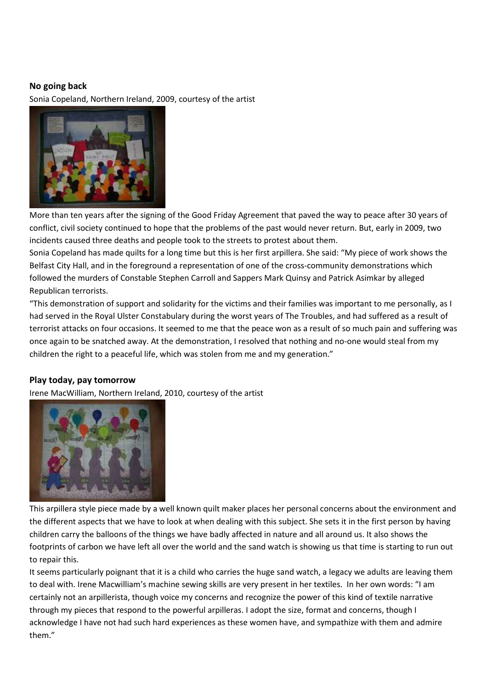#### **No going back**

Sonia Copeland, Northern Ireland, 2009, courtesy of the artist



More than ten years after the signing of the Good Friday Agreement that paved the way to peace after 30 years of conflict, civil society continued to hope that the problems of the past would never return. But, early in 2009, two incidents caused three deaths and people took to the streets to protest about them.

Sonia Copeland has made quilts for a long time but this is her first arpillera. She said: "My piece of work shows the Belfast City Hall, and in the foreground a representation of one of the cross-community demonstrations which followed the murders of Constable Stephen Carroll and Sappers Mark Quinsy and Patrick Asimkar by alleged Republican terrorists.

"This demonstration of support and solidarity for the victims and their families was important to me personally, as I had served in the Royal Ulster Constabulary during the worst years of The Troubles, and had suffered as a result of terrorist attacks on four occasions. It seemed to me that the peace won as a result of so much pain and suffering was once again to be snatched away. At the demonstration, I resolved that nothing and no-one would steal from my children the right to a peaceful life, which was stolen from me and my generation."

#### **Play today, pay tomorrow**

Irene MacWilliam, Northern Ireland, 2010, courtesy of the artist



This arpillera style piece made by a well known quilt maker places her personal concerns about the environment and the different aspects that we have to look at when dealing with this subject. She sets it in the first person by having children carry the balloons of the things we have badly affected in nature and all around us. It also shows the footprints of carbon we have left all over the world and the sand watch is showing us that time is starting to run out to repair this.

It seems particularly poignant that it is a child who carries the huge sand watch, a legacy we adults are leaving them to deal with. Irene Macwilliam's machine sewing skills are very present in her textiles. In her own words: "I am certainly not an arpillerista, though voice my concerns and recognize the power of this kind of textile narrative through my pieces that respond to the powerful arpilleras. I adopt the size, format and concerns, though I acknowledge I have not had such hard experiences as these women have, and sympathize with them and admire them."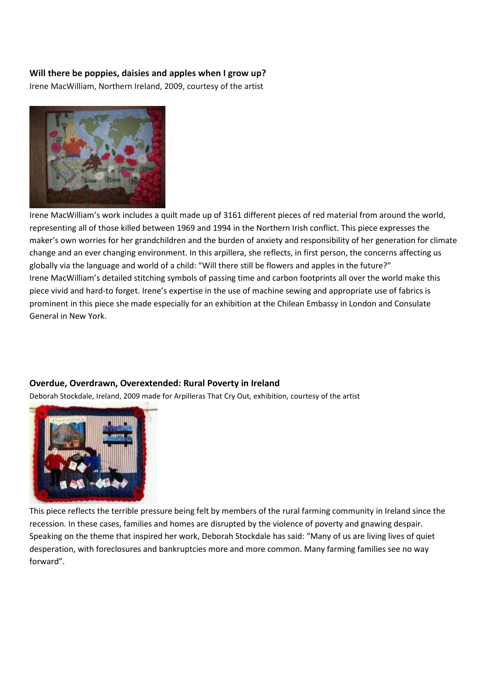#### **Will there be poppies, daisies and apples when I grow up?**

Irene MacWilliam, Northern Ireland, 2009, courtesy of the artist



Irene MacWilliam's work includes a quilt made up of 3161 different pieces of red material from around the world, representing all of those killed between 1969 and 1994 in the Northern Irish conflict. This piece expresses the maker's own worries for her grandchildren and the burden of anxiety and responsibility of her generation for climate change and an ever changing environment. In this arpillera, she reflects, in first person, the concerns affecting us globally via the language and world of a child: "Will there still be flowers and apples in the future?" Irene MacWilliam's detailed stitching symbols of passing time and carbon footprints all over the world make this piece vivid and hard-to forget. Irene's expertise in the use of machine sewing and appropriate use of fabrics is prominent in this piece she made especially for an exhibition at the Chilean Embassy in London and Consulate General in New York.

#### **Overdue, Overdrawn, Overextended: Rural Poverty in Ireland**

Deborah Stockdale, Ireland, 2009 made for Arpilleras That Cry Out, exhibition, courtesy of the artist



This piece reflects the terrible pressure being felt by members of the rural farming community in Ireland since the recession. In these cases, families and homes are disrupted by the violence of poverty and gnawing despair. Speaking on the theme that inspired her work, Deborah Stockdale has said: "Many of us are living lives of quiet desperation, with foreclosures and bankruptcies more and more common. Many farming families see no way forward".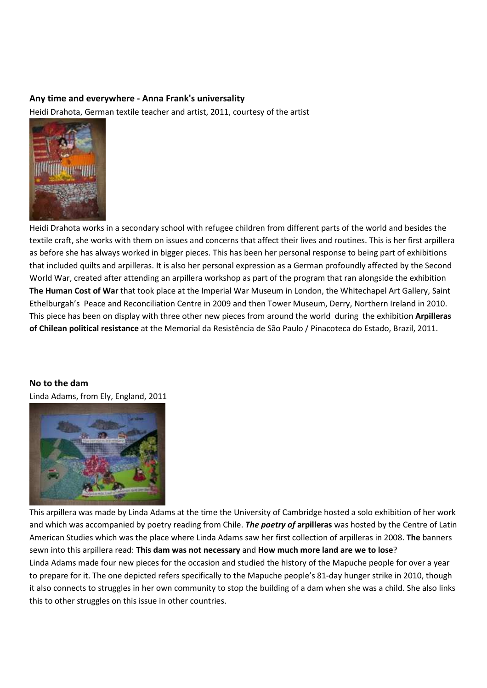#### **Any time and everywhere - Anna Frank's universality**

Heidi Drahota, German textile teacher and artist, 2011, courtesy of the artist



Heidi Drahota works in a secondary school with refugee children from different parts of the world and besides the textile craft, she works with them on issues and concerns that affect their lives and routines. This is her first arpillera as before she has always worked in bigger pieces. This has been her personal response to being part of exhibitions that included quilts and arpilleras. It is also her personal expression as a German profoundly affected by the Second World War, created after attending an arpillera workshop as part of the program that ran alongside the exhibition **The Human Cost of War** that took place at the Imperial War Museum in London, the Whitechapel Art Gallery, Saint Ethelburgah's Peace and Reconciliation Centre in 2009 and then Tower Museum, Derry, Northern Ireland in 2010. This piece has been on display with three other new pieces from around the world during the exhibition **Arpilleras of Chilean political resistance** at the Memorial da Resistência de São Paulo / Pinacoteca do Estado, Brazil, 2011.

**No to the dam** 

Linda Adams, from Ely, England, 2011



This arpillera was made by Linda Adams at the time the University of Cambridge hosted a solo exhibition of her work and which was accompanied by poetry reading from Chile. *The poetry of* **arpilleras** was hosted by the Centre of Latin American Studies which was the place where Linda Adams saw her first collection of arpilleras in 2008. **The** banners sewn into this arpillera read: **This dam was not necessary** and **How much more land are we to lose**? Linda Adams made four new pieces for the occasion and studied the history of the Mapuche people for over a year to prepare for it. The one depicted refers specifically to the Mapuche people's 81-day hunger strike in 2010, though it also connects to struggles in her own community to stop the building of a dam when she was a child. She also links this to other struggles on this issue in other countries.